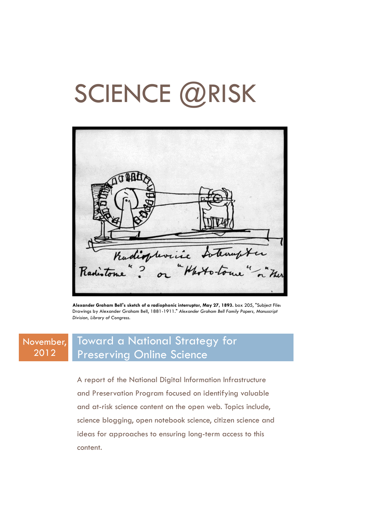# SCIENCE @RISK

Radiophoric Laterapter

**Alexander Graham Bell's sketch of a radiophonic interruptor, May 27, 1893.** box 205, "Subject File: Drawings by Alexander Graham Bell, 1881-1911." *Alexander Graham Bell Family Papers, Manuscript Division, Library of Congress.*

#### November, 2012 Toward a National Strategy for Preserving Online Science

A report of the National Digital Information Infrastructure and Preservation Program focused on identifying valuable and at-risk science content on the open web. Topics include, science blogging, open notebook science, citizen science and ideas for approaches to ensuring long-term access to this content.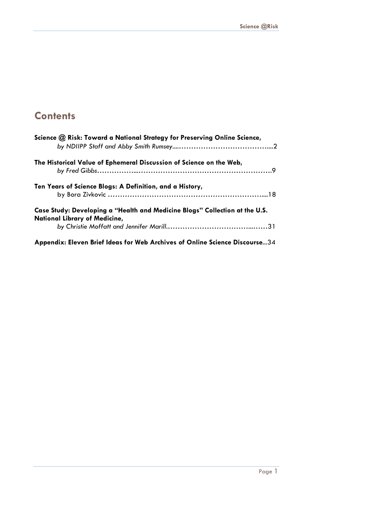## **Contents**

| Science @ Risk: Toward a National Strategy for Preserving Online Science,                                    |
|--------------------------------------------------------------------------------------------------------------|
| The Historical Value of Ephemeral Discussion of Science on the Web,                                          |
| Ten Years of Science Blogs: A Definition, and a History,                                                     |
| Case Study: Developing a "Health and Medicine Blogs" Collection at the U.S.<br>National Library of Medicine, |
| Appendix: Eleven Brief Ideas for Web Archives of Online Science Discourse34                                  |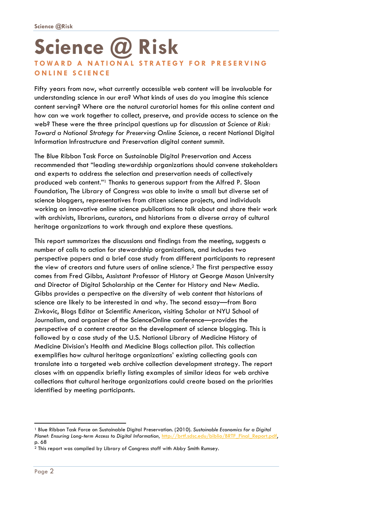## **Science @ Risk TOWARD A NATIONAL STRATEGY FOR PRESERVING ONLINE SCIENCE**

Fifty years from now, what currently accessible web content will be invaluable for understanding science in our era? What kinds of uses do you imagine this science content serving? Where are the natural curatorial homes for this online content and how can we work together to collect, preserve, and provide access to science on the web? These were the three principal questions up for discussion at *Science at Risk: Toward a National Strategy for Preserving Online Science*, a recent National Digital Information Infrastructure and Preservation digital content summit.

The Blue Ribbon Task Force on Sustainable Digital Preservation and Access recommended that "leading stewardship organizations should convene stakeholders and experts to address the selection and preservation needs of collectively produced web content."1 Thanks to generous support from the Alfred P. Sloan Foundation, The Library of Congress was able to invite a small but diverse set of science bloggers, representatives from citizen science projects, and individuals working on innovative online science publications to talk about and share their work with archivists, librarians, curators, and historians from a diverse array of cultural heritage organizations to work through and explore these questions.

This report summarizes the discussions and findings from the meeting, suggests a number of calls to action for stewardship organizations, and includes two perspective papers and a brief case study from different participants to represent the view of creators and future users of online science.2 The first perspective essay comes from Fred Gibbs, Assistant Professor of History at George Mason University and Director of Digital Scholarship at the Center for History and New Media. Gibbs provides a perspective on the diversity of web content that historians of science are likely to be interested in and why. The second essay—from Bora Zivkovic, Blogs Editor at Scientific American, visiting Scholar at NYU School of Journalism, and organizer of the ScienceOnline conference—provides the perspective of a content creator on the development of science blogging. This is followed by a case study of the U.S. National Library of Medicine History of Medicine Division's Health and Medicine Blogs collection pilot. This collection exemplifies how cultural heritage organizations' existing collecting goals can translate into a targeted web archive collection development strategy. The report closes with an appendix briefly listing examples of similar ideas for web archive collections that cultural heritage organizations could create based on the priorities identified by meeting participants.

-

<sup>1</sup> Blue Ribbon Task Force on Sustainable Digital Preservation. (2010). *Sustainable Economics for a Digital*  Planet: Ensuring Long-term Access to Digital Information, http://brtf.sdsc.edu/biblio/BRTF\_Final\_Report.pdf, p. 68

<sup>2</sup> This report was compiled by Library of Congress staff with Abby Smith Rumsey.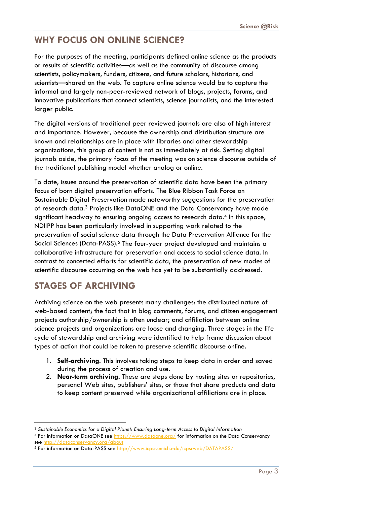## **WHY FOCUS ON ONLINE SCIENCE?**

For the purposes of the meeting, participants defined online science as the products or results of scientific activities—as well as the community of discourse among scientists, policymakers, funders, citizens, and future scholars, historians, and scientists—shared on the web. To capture online science would be to capture the informal and largely non-peer-reviewed network of blogs, projects, forums, and innovative publications that connect scientists, science journalists, and the interested larger public.

The digital versions of traditional peer reviewed journals are also of high interest and importance. However, because the ownership and distribution structure are known and relationships are in place with libraries and other stewardship organizations, this group of content is not as immediately at risk. Setting digital journals aside, the primary focus of the meeting was on science discourse outside of the traditional publishing model whether analog or online.

To date, issues around the preservation of scientific data have been the primary focus of born digital preservation efforts. The Blue Ribbon Task Force on Sustainable Digital Preservation made noteworthy suggestions for the preservation of research data.3 Projects like DataONE and the Data Conservancy have made significant headway to ensuring ongoing access to research data.<sup>4</sup> In this space, NDIIPP has been particularly involved in supporting work related to the preservation of social science data through the Data Preservation Alliance for the Social Sciences (Data-PASS).<sup>5</sup> The four-year project developed and maintains a collaborative infrastructure for preservation and access to social science data. In contrast to concerted efforts for scientific data, the preservation of new modes of scientific discourse occurring on the web has yet to be substantially addressed.

## **STAGES OF ARCHIVING**

Archiving science on the web presents many challenges: the distributed nature of web-based content; the fact that in blog comments, forums, and citizen engagement projects authorship/ownership is often unclear; and affiliation between online science projects and organizations are loose and changing. Three stages in the life cycle of stewardship and archiving were identified to help frame discussion about types of action that could be taken to preserve scientific discourse online.

- 1. **Self-archiving**. This involves taking steps to keep data in order and saved during the process of creation and use.
- 2. **Near-term archiving.** These are steps done by hosting sites or repositories, personal Web sites, publishers' sites, or those that share products and data to keep content preserved while organizational affiliations are in place.

l <sup>3</sup> *Sustainable Economics for a Digital Planet: Ensuring Long-term Access to Digital Information*

<sup>4</sup> For information on DataONE see https://www.dataone.org/ for information on the Data Conservancy see http://dataconservancy.org/about

<sup>5</sup> For information on Data-PASS see http://www.icpsr.umich.edu/icpsrweb/DATAPASS/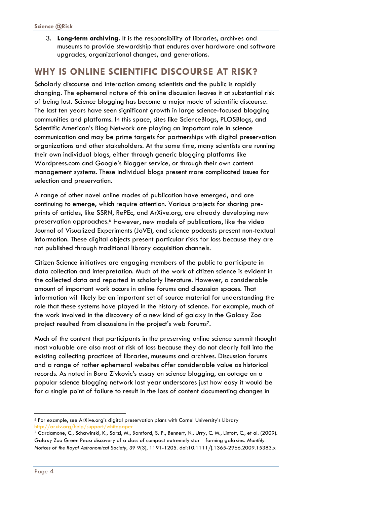3. **Long-term archiving.** It is the responsibility of libraries, archives and museums to provide stewardship that endures over hardware and software upgrades, organizational changes, and generations.

## **WHY IS ONLINE SCIENTIFIC DISCOURSE AT RISK?**

Scholarly discourse and interaction among scientists and the public is rapidly changing. The ephemeral nature of this online discussion leaves it at substantial risk of being lost. Science blogging has become a major mode of scientific discourse. The last ten years have seen significant growth in large science-focused blogging communities and platforms. In this space, sites like ScienceBlogs, PLOSBlogs, and Scientific American's Blog Network are playing an important role in science communication and may be prime targets for partnerships with digital preservation organizations and other stakeholders. At the same time, many scientists are running their own individual blogs, either through generic blogging platforms like Wordpress.com and Google's Blogger service, or through their own content management systems. These individual blogs present more complicated issues for selection and preservation.

A range of other novel online modes of publication have emerged, and are continuing to emerge, which require attention. Various projects for sharing preprints of articles, like SSRN, RePEc, and ArXive.org, are already developing new preservation approaches.6 However, new models of publications, like the video Journal of Visualized Experiments (JoVE), and science podcasts present non-textual information. These digital objects present particular risks for loss because they are not published through traditional library acquisition channels.

Citizen Science initiatives are engaging members of the public to participate in data collection and interpretation. Much of the work of citizen science is evident in the collected data and reported in scholarly literature. However, a considerable amount of important work occurs in online forums and discussion spaces. That information will likely be an important set of source material for understanding the role that these systems have played in the history of science. For example, much of the work involved in the discovery of a new kind of galaxy in the Galaxy Zoo project resulted from discussions in the project's web forums7.

Much of the content that participants in the preserving online science summit thought most valuable are also most at risk of loss because they do not clearly fall into the existing collecting practices of libraries, museums and archives. Discussion forums and a range of rather ephemeral websites offer considerable value as historical records. As noted in Bora Zivkovic's essay on science blogging, an outage on a popular science blogging network last year underscores just how easy it would be for a single point of failure to result in the loss of content documenting changes in

<sup>-</sup>6 For example, see ArXive.org's digital preservation plans with Cornel University's Library http://arxiv.org/help/support/whitepa

<sup>7</sup> Cardamone, C., Schawinski, K., Sarzi, M., Bamford, S. P., Bennert, N., Urry, C. M., Lintott, C., et al. (2009). Galaxy Zoo Green Peas: discovery of a class of compact extremely star - forming galaxies. Monthly *Notices of the Royal Astronomical Society*, *39 9*(3), 1191-1205. doi:10.1111/j.1365-2966.2009.15383.x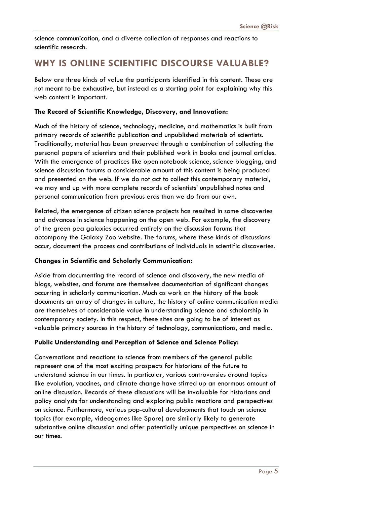science communication, and a diverse collection of responses and reactions to scientific research.

## **WHY IS ONLINE SCIENTIFIC DISCOURSE VALUABLE?**

Below are three kinds of value the participants identified in this content. These are not meant to be exhaustive, but instead as a starting point for explaining why this web content is important.

#### **The Record of Scientific Knowledge, Discovery, and Innovation:**

Much of the history of science, technology, medicine, and mathematics is built from primary records of scientific publication and unpublished materials of scientists. Traditionally, material has been preserved through a combination of collecting the personal papers of scientists and their published work in books and journal articles. With the emergence of practices like open notebook science, science blogging, and science discussion forums a considerable amount of this content is being produced and presented on the web. If we do not act to collect this contemporary material, we may end up with more complete records of scientists' unpublished notes and personal communication from previous eras than we do from our own.

Related, the emergence of citizen science projects has resulted in some discoveries and advances in science happening on the open web. For example, the discovery of the green pea galaxies occurred entirely on the discussion forums that accompany the Galaxy Zoo website. The forums, where these kinds of discussions occur, document the process and contributions of individuals in scientific discoveries.

#### **Changes in Scientific and Scholarly Communication:**

Aside from documenting the record of science and discovery, the new media of blogs, websites, and forums are themselves documentation of significant changes occurring in scholarly communication. Much as work on the history of the book documents an array of changes in culture, the history of online communication media are themselves of considerable value in understanding science and scholarship in contemporary society. In this respect, these sites are going to be of interest as valuable primary sources in the history of technology, communications, and media.

#### **Public Understanding and Perception of Science and Science Policy:**

Conversations and reactions to science from members of the general public represent one of the most exciting prospects for historians of the future to understand science in our times. In particular, various controversies around topics like evolution, vaccines, and climate change have stirred up an enormous amount of online discussion. Records of these discussions will be invaluable for historians and policy analysts for understanding and exploring public reactions and perspectives on science. Furthermore, various pop-cultural developments that touch on science topics (for example, videogames like Spore) are similarly likely to generate substantive online discussion and offer potentially unique perspectives on science in our times.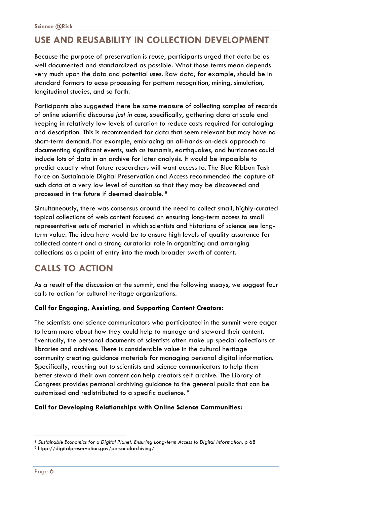## **USE AND REUSABILITY IN COLLECTION DEVELOPMENT**

Because the purpose of preservation is reuse, participants urged that data be as well documented and standardized as possible. What those terms mean depends very much upon the data and potential uses. Raw data, for example, should be in standard formats to ease processing for pattern recognition, mining, simulation, longitudinal studies, and so forth.

Participants also suggested there be some measure of collecting samples of records of online scientific discourse *just in case*, specifically, gathering data at scale and keeping in relatively low levels of curation to reduce costs required for cataloging and description. This is recommended for data that seem relevant but may have no short-term demand. For example, embracing an all-hands-on-deck approach to documenting significant events, such as tsunamis, earthquakes, and hurricanes could include lots of data in an archive for later analysis. It would be impossible to predict exactly what future researchers will want access to. The Blue Ribbon Task Force on Sustainable Digital Preservation and Access recommended the capture of such data at a very low level of curation so that they may be discovered and processed in the future if deemed desirable. 8

Simultaneously, there was consensus around the need to collect small, highly-curated topical collections of web content focused on ensuring long-term access to small representative sets of material in which scientists and historians of science see longterm value. The idea here would be to ensure high levels of quality assurance for collected content and a strong curatorial role in organizing and arranging collections as a point of entry into the much broader swath of content.

## **CALLS TO ACTION**

As a result of the discussion at the summit, and the following essays, we suggest four calls to action for cultural heritage organizations.

#### **Call for Engaging, Assisting, and Supporting Content Creators:**

The scientists and science communicators who participated in the summit were eager to learn more about how they could help to manage and steward their content. Eventually, the personal documents of scientists often make up special collections at libraries and archives. There is considerable value in the cultural heritage community creating guidance materials for managing personal digital information. Specifically, reaching out to scientists and science communicators to help them better steward their own content can help creators self archive. The Library of Congress provides personal archiving guidance to the general public that can be customized and redistributed to a specific audience. 9

#### **Call for Developing Relationships with Online Science Communities:**

-

<sup>8</sup> *Sustainable Economics for a Digital Planet: Ensuring Long-term Access to Digital Information*, p 68

 $9$  htpp://digitalpreservation.gov/personalarchiving/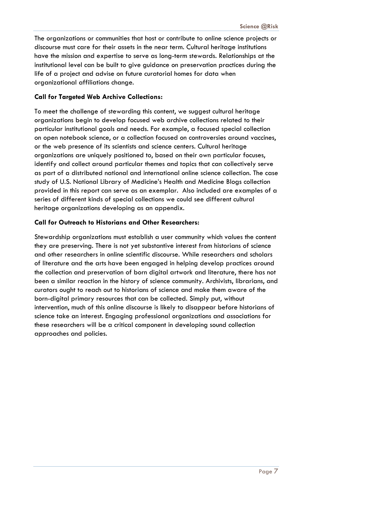The organizations or communities that host or contribute to online science projects or discourse must care for their assets in the near term. Cultural heritage institutions have the mission and expertise to serve as long-term stewards. Relationships at the institutional level can be built to give guidance on preservation practices during the life of a project and advise on future curatorial homes for data when organizational affiliations change.

#### **Call for Targeted Web Archive Collections:**

To meet the challenge of stewarding this content, we suggest cultural heritage organizations begin to develop focused web archive collections related to their particular institutional goals and needs. For example, a focused special collection on open notebook science, or a collection focused on controversies around vaccines, or the web presence of its scientists and science centers. Cultural heritage organizations are uniquely positioned to, based on their own particular focuses, identify and collect around particular themes and topics that can collectively serve as part of a distributed national and international online science collection. The case study of U.S. National Library of Medicine's Health and Medicine Blogs collection provided in this report can serve as an exemplar. Also included are examples of a series of different kinds of special collections we could see different cultural heritage organizations developing as an appendix.

#### **Call for Outreach to Historians and Other Researchers:**

Stewardship organizations must establish a user community which values the content they are preserving. There is not yet substantive interest from historians of science and other researchers in online scientific discourse. While researchers and scholars of literature and the arts have been engaged in helping develop practices around the collection and preservation of born digital artwork and literature, there has not been a similar reaction in the history of science community. Archivists, librarians, and curators ought to reach out to historians of science and make them aware of the born-digital primary resources that can be collected. Simply put, without intervention, much of this online discourse is likely to disappear before historians of science take an interest. Engaging professional organizations and associations for these researchers will be a critical component in developing sound collection approaches and policies.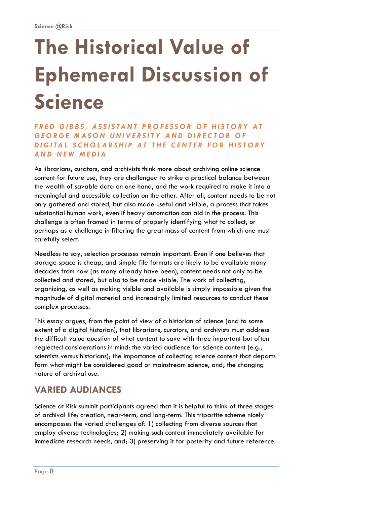## **The Historical Value of Ephemeral Discussion of Science**

*FRED GIBBS, ASSISTANT PROFESSOR OF HISTORY AT*  **GEORGE MASON UNIVERSITY AND DIRECTOR OF** *DIGITAL SCHOLARSHIP AT THE CENTER FOR HISTORY AND NEW MEDIA*

As librarians, curators, and archivists think more about archiving online science content for future use, they are challenged to strike a practical balance between the wealth of savable data on one hand, and the work required to make it into a meaningful and accessible collection on the other. After all, content needs to be not only gathered and stored, but also made useful and visible, a process that takes substantial human work, even if heavy automation can aid in the process. This challenge is often framed in terms of properly identifying what to collect, or perhaps as a challenge in filtering the great mass of content from which one must carefully select.

Needless to say, selection processes remain important. Even if one believes that storage space is cheap, and simple file formats are likely to be available many decades from now (as many already have been), content needs not only to be collected and stored, but also to be made visible. The work of collecting, organizing, as well as making visible and available is simply impossible given the magnitude of digital material and increasingly limited resources to conduct these complex processes.

This essay argues, from the point of view of a historian of science (and to some extent of a digital historian), that librarians, curators, and archivists must address the difficult value question of what content to save with three important but often neglected considerations in mind: the varied audience for science content (e.g., scientists versus historians); the importance of collecting science content that departs form what might be considered good or mainstream science, and; the changing nature of archival use.

## **VARIED AUDIANCES**

Science at Risk summit participants agreed that it is helpful to think of three stages of archival life: creation, near-term, and long-term. This tripartite scheme nicely encompasses the varied challenges of: 1) collecting from diverse sources that employ diverse technologies; 2) making such content immediately available for immediate research needs, and; 3) preserving it for posterity and future reference.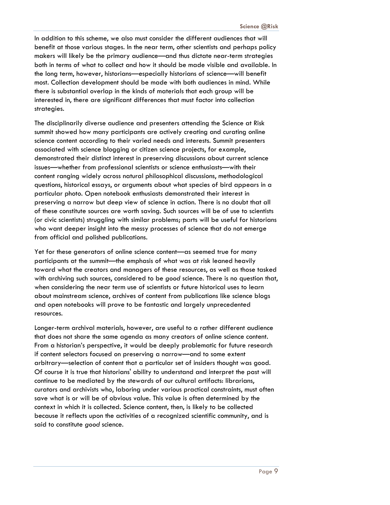In addition to this scheme, we also must consider the different audiences that will benefit at those various stages. In the near term, other scientists and perhaps policy makers will likely be the primary audience—and thus dictate near-term strategies both in terms of what to collect and how it should be made visible and available. In the long term, however, historians—especially historians of science—will benefit most. Collection development should be made with both audiences in mind. While there is substantial overlap in the kinds of materials that each group will be interested in, there are significant differences that must factor into collection strategies.

The disciplinarily diverse audience and presenters attending the Science at Risk summit showed how many participants are actively creating and curating online science content according to their varied needs and interests. Summit presenters associated with science blogging or citizen science projects, for example, demonstrated their distinct interest in preserving discussions about current science issues—whether from professional scientists or science enthusiasts—with their content ranging widely across natural philosophical discussions, methodological questions, historical essays, or arguments about what species of bird appears in a particular photo. Open notebook enthusiasts demonstrated their interest in preserving a narrow but deep view of science in action. There is no doubt that all of these constitute sources are worth saving. Such sources will be of use to scientists (or civic scientists) struggling with similar problems; parts will be useful for historians who want deeper insight into the messy processes of science that do not emerge from official and polished publications.

Yet for these generators of online science content—as seemed true for many participants at the summit—the emphasis of what was at risk leaned heavily toward what the creators and managers of these resources, as well as those tasked with archiving such sources, considered to be *good* science. There is no question that, when considering the near term use of scientists or future historical uses to learn about mainstream science, archives of content from publications like science blogs and open notebooks will prove to be fantastic and largely unprecedented resources.

Longer-term archival materials, however, are useful to a rather different audience that does not share the same agenda as many creators of online science content. From a historian's perspective, it would be deeply problematic for future research if content selectors focused on preserving a narrow—and to some extent arbitrary—selection of content that a particular set of insiders thought was good. Of course it is true that historians' ability to understand and interpret the past will continue to be mediated by the stewards of our cultural artifacts: librarians, curators and archivists who, laboring under various practical constraints, must often save what is or will be of obvious value. This value is often determined by the context in which it is collected. Science content, then, is likely to be collected because it reflects upon the activities of a recognized scientific community, and is said to constitute *good* science.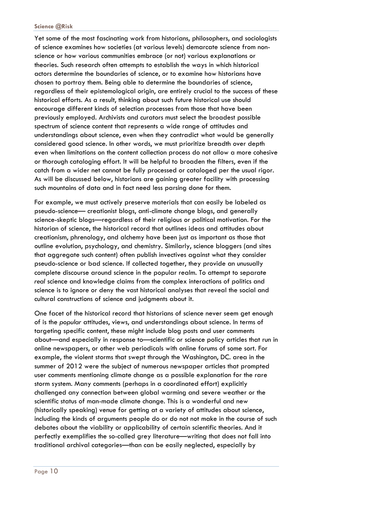#### **Science @Risk**

Yet some of the most fascinating work from historians, philosophers, and sociologists of science examines how societies (at various levels) demarcate science from nonscience or how various communities embrace (or not) various explanations or theories. Such research often attempts to establish the ways in which historical actors determine the boundaries of science, or to examine how historians have chosen to portray them. Being able to determine the boundaries of science, regardless of their epistemological origin, are entirely crucial to the success of these historical efforts. As a result, thinking about such future historical use should encourage different kinds of selection processes from those that have been previously employed. Archivists and curators must select the broadest possible spectrum of science content that represents a wide range of attitudes and understandings about science, even when they contradict what would be generally considered good science. In other words, we must prioritize breadth over depth even when limitations on the content collection process do not allow a more cohesive or thorough cataloging effort. It will be helpful to broaden the filters, even if the catch from a wider net cannot be fully processed or cataloged per the usual rigor. As will be discussed below, historians are gaining greater facility with processing such mountains of data and in fact need less parsing done for them.

For example, we must actively preserve materials that can easily be labeled as pseudo-science— creationist blogs, anti-climate change blogs, and generally science-skeptic blogs—regardless of their religious or political motivation. For the historian of science, the historical record that outlines ideas and attitudes about creationism, phrenology, and alchemy have been just as important as those that outline evolution, psychology, and chemistry. Similarly, science bloggers (and sites that aggregate such content) often publish invectives against what they consider pseudo-science or bad science. If collected together, they provide an unusually complete discourse around science in the popular realm. To attempt to separate *real* science and knowledge claims from the complex interactions of politics and science is to ignore or deny the vast historical analyses that reveal the social and cultural constructions of science and judgments about it.

One facet of the historical record that historians of science never seem get enough of is the *popular* attitudes, views, and understandings about science. In terms of targeting specific content, these might include blog posts and user comments about—and especially in response to—scientific or science policy articles that run in online newspapers, or other web periodicals with online forums of some sort. For example, the violent storms that swept through the Washington, DC. area in the summer of 2012 were the subject of numerous newspaper articles that prompted user comments mentioning climate change as a possible explanation for the rare storm system. Many comments (perhaps in a coordinated effort) explicitly challenged any connection between global warming and severe weather or the scientific status of man-made climate change. This is a wonderful and new (historically speaking) venue for getting at a variety of attitudes about science, including the kinds of arguments people do or do not not make in the course of such debates about the viability or applicability of certain scientific theories. And it perfectly exemplifies the so-called grey literature—writing that does not fall into traditional archival categories—than can be easily neglected, especially by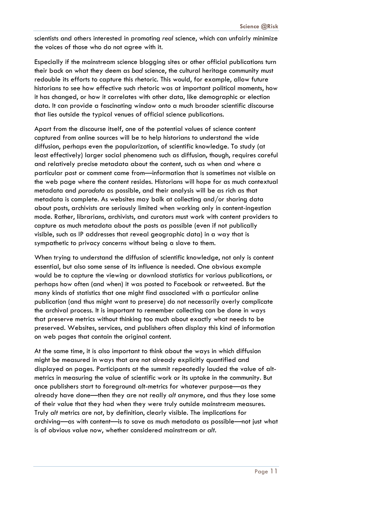scientists and others interested in promoting *real* science, which can unfairly minimize the voices of those who do not agree with it.

Especially if the mainstream science blogging sites or other official publications turn their back on what they deem as *bad* science, the cultural heritage community must redouble its efforts to capture this rhetoric. This would, for example, allow future historians to see how effective such rhetoric was at important political moments, how it has changed, or how it correlates with other data, like demographic or election data. It can provide a fascinating window onto a much broader scientific discourse that lies outside the typical venues of official science publications.

Apart from the discourse itself, one of the potential values of science content captured from online sources will be to help historians to understand the wide diffusion, perhaps even the popularization, of scientific knowledge. To study (at least effectively) larger social phenomena such as diffusion, though, requires careful and relatively precise metadata about the content, such as when and where a particular post or comment came from—information that is sometimes not visible on the web page where the content resides. Historians will hope for as much contextual metadata and *paradata* as possible, and their analysis will be as rich as that metadata is complete. As websites may balk at collecting and/or sharing data about posts, archivists are seriously limited when working only in content-ingestion mode. Rather, librarians, archivists, and curators must work with content providers to capture as much metadata about the posts as possible (even if not publically visible, such as IP addresses that reveal geographic data) in a way that is sympathetic to privacy concerns without being a slave to them.

When trying to understand the diffusion of scientific knowledge, not only is content essential, but also some sense of its influence is needed. One obvious example would be to capture the viewing or download statistics for various publications, or perhaps how often (and when) it was posted to Facebook or retweeted. But the many kinds of statistics that one might find associated with a particular online publication (and thus might want to preserve) do not necessarily overly complicate the archival process. It is important to remember collecting can be done in ways that preserve metrics without thinking too much about exactly what needs to be preserved. Websites, services, and publishers often display this kind of information on web pages that contain the original content.

At the same time, it is also important to think about the ways in which diffusion might be measured in ways that are not already explicitly quantified and displayed on pages. Participants at the summit repeatedly lauded the value of altmetrics in measuring the value of scientific work or its uptake in the community. But once publishers start to foreground alt-metrics for whatever purpose—as they already have done—then they are not really *alt* anymore, and thus they lose some of their value that they had when they were truly outside mainstream measures. Truly *alt* metrics are not, by definition, clearly visible. The implications for archiving—as with content—is to save as much metadata as possible—not just what is of obvious value now, whether considered mainstream or *alt*.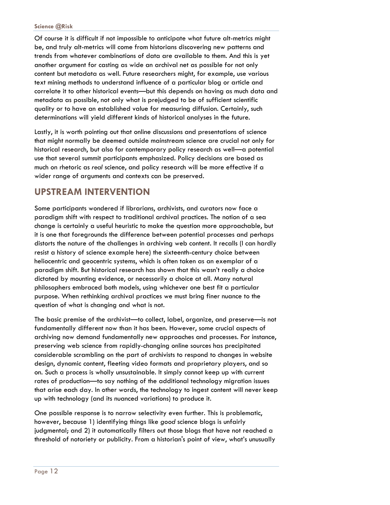Of course it is difficult if not impossible to anticipate what future alt-metrics might be, and truly alt-metrics will come from historians discovering new patterns and trends from whatever combinations of data are available to them. And this is yet another argument for casting as wide an archival net as possible for not only content but metadata as well. Future researchers might, for example, use various text mining methods to understand influence of a particular blog or article and correlate it to other historical events—but this depends on having as much data and metadata as possible, not only what is prejudged to be of sufficient scientific quality or to have an established value for measuring diffusion. Certainly, such determinations will yield different kinds of historical analyses in the future.

Lastly, it is worth pointing out that online discussions and presentations of science that might normally be deemed outside mainstream science are crucial not only for historical research, but also for contemporary policy research as well—a potential use that several summit participants emphasized. Policy decisions are based as much on rhetoric as *real* science, and policy research will be more effective if a wider range of arguments and contexts can be preserved.

## **UPSTREAM INTERVENTION**

Some participants wondered if librarians, archivists, and curators now face a paradigm shift with respect to traditional archival practices. The notion of a sea change is certainly a useful heuristic to make the question more approachable, but it is one that foregrounds the difference between potential processes and perhaps distorts the nature of the challenges in archiving web content. It recalls (I can hardly resist a history of science example here) the sixteenth-century choice between heliocentric and geocentric systems, which is often taken as an exemplar of a paradigm shift. But historical research has shown that this wasn't really a choice dictated by mounting evidence, or necessarily a choice at all. Many natural philosophers embraced both models, using whichever one best fit a particular purpose. When rethinking archival practices we must bring finer nuance to the question of what is changing and what is not.

The basic premise of the archivist—to collect, label, organize, and preserve—is not fundamentally different now than it has been. However, some crucial aspects of archiving now demand fundamentally new approaches and processes. For instance, preserving web science from rapidly-changing online sources has precipitated considerable scrambling on the part of archivists to respond to changes in website design, dynamic content, fleeting video formats and proprietary players, and so on. Such a process is wholly unsustainable. It simply cannot keep up with current rates of production—to say nothing of the additional technology migration issues that arise each day. In other words, the technology to ingest content will never keep up with technology (and its nuanced variations) to produce it.

One possible response is to narrow selectivity even further. This is problematic, however, because 1) identifying things like *good* science blogs is unfairly judgmental; and 2) it automatically filters out those blogs that have not reached a threshold of notoriety or publicity. From a historian's point of view, what's unusually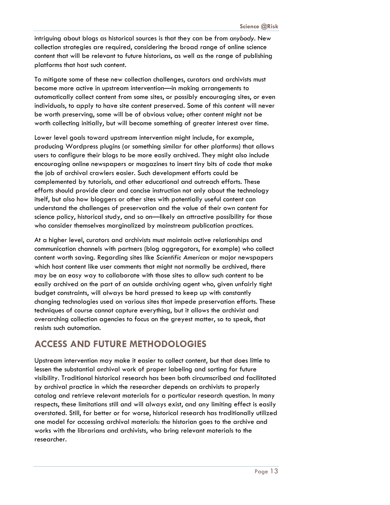intriguing about blogs as historical sources is that they can be from *anybody*. New collection strategies are required, considering the broad range of online science content that will be relevant to future historians, as well as the range of publishing platforms that host such content.

To mitigate some of these new collection challenges, curators and archivists must become more active in upstream intervention—in making arrangements to automatically collect content from some sites, or possibly encouraging sites, or even individuals, to apply to have site content preserved. Some of this content will never be worth preserving, some will be of obvious value; other content might not be worth collecting initially, but will become something of greater interest over time.

Lower level goals toward upstream intervention might include, for example, producing Wordpress plugins (or something similar for other platforms) that allows users to configure their blogs to be more easily archived. They might also include encouraging online newspapers or magazines to insert tiny bits of code that make the job of archival crawlers easier. Such development efforts could be complemented by tutorials, and other educational and outreach efforts. These efforts should provide clear and concise instruction not only about the technology itself, but also how bloggers or other sites with potentially useful content can understand the challenges of preservation and the value of their own content for science policy, historical study, and so on—likely an attractive possibility for those who consider themselves marginalized by mainstream publication practices.

At a higher level, curators and archivists must maintain active relationships and communication channels with partners (blog aggregators, for example) who collect content worth saving. Regarding sites like *Scientific American* or major newspapers which host content like user comments that might not normally be archived, there may be an easy way to collaborate with those sites to allow such content to be easily archived on the part of an outside archiving agent who, given unfairly tight budget constraints, will always be hard pressed to keep up with constantly changing technologies used on various sites that impede preservation efforts. These techniques of course cannot capture everything, but it allows the archivist and overarching collection agencies to focus on the greyest matter, so to speak, that resists such automation.

## **ACCESS AND FUTURE METHODOLOGIES**

Upstream intervention may make it easier to collect content, but that does little to lessen the substantial archival work of proper labeling and sorting for future visibility. Traditional historical research has been both circumscribed and facilitated by archival practice in which the researcher depends on archivists to properly catalog and retrieve relevant materials for a particular research question. In many respects, these limitations still and will always exist, and any limiting effect is easily overstated. Still, for better or for worse, historical research has traditionally utilized one model for accessing archival materials: the historian goes to the archive and works with the librarians and archivists, who bring relevant materials to the researcher.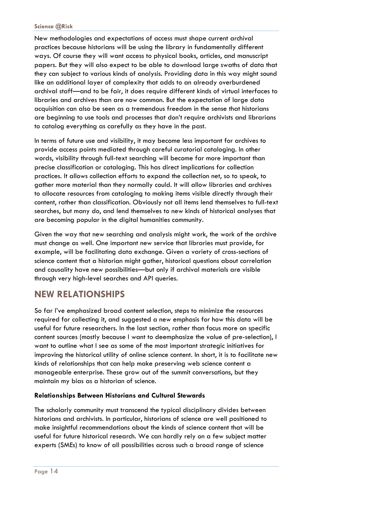#### **Science @Risk**

New methodologies and expectations of access must shape current archival practices because historians will be using the library in fundamentally different ways. Of course they will want access to physical books, articles, and manuscript papers. But they will also expect to be able to download large swaths of data that they can subject to various kinds of analysis. Providing data in this way might sound like an additional layer of complexity that adds to an already overburdened archival staff—and to be fair, it does require different kinds of virtual interfaces to libraries and archives than are now common. But the expectation of large data acquisition can also be seen as a tremendous freedom in the sense that historians are beginning to use tools and processes that don't require archivists and librarians to catalog everything as carefully as they have in the past.

In terms of future use and visibility, it may become less important for archives to provide access points mediated through careful curatorial cataloging. In other words, visibility through full-text searching will become far more important than precise classification or cataloging. This has direct implications for collection practices. It allows collection efforts to expand the collection net, so to speak, to gather more material than they normally could. It will allow libraries and archives to allocate resources from cataloging to making items visible directly through their content, rather than classification. Obviously not all items lend themselves to full-text searches, but many do, and lend themselves to new kinds of historical analyses that are becoming popular in the digital humanities community.

Given the way that new searching and analysis might work, the work of the archive must change as well. One important new service that libraries must provide, for example, will be facilitating data exchange. Given a variety of cross-sections of science content that a historian might gather, historical questions about correlation and causality have new possibilities—but only if archival materials are visible through very high-level searches and API queries.

### **NEW RELATIONSHIPS**

So far I've emphasized broad content selection, steps to minimize the resources required for collecting it, and suggested a new emphasis for how this data will be useful for future researchers. In the last section, rather than focus more on specific content sources (mostly because I want to deemphasize the value of pre-selection), I want to outline what I see as some of the most important strategic initiatives for improving the historical utility of online science content. In short, it is to facilitate new kinds of relationships that can help make preserving web science content a manageable enterprise. These grow out of the summit conversations, but they maintain my bias as a historian of science.

#### **Relationships Between Historians and Cultural Stewards**

The scholarly community must transcend the typical disciplinary divides between historians and archivists. In particular, historians of science are well positioned to make insightful recommendations about the kinds of science content that will be useful for future historical research. We can hardly rely on a few subject matter experts (SMEs) to know of all possibilities across such a broad range of science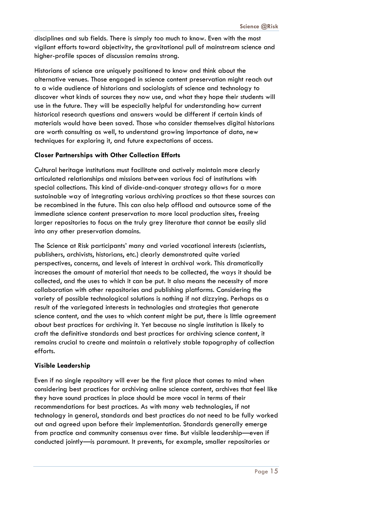disciplines and sub fields. There is simply too much to know. Even with the most vigilant efforts toward objectivity, the gravitational pull of mainstream science and higher-profile spaces of discussion remains strong.

Historians of science are uniquely positioned to know and think about the alternative venues. Those engaged in science content preservation might reach out to a wide audience of historians and sociologists of science and technology to discover what kinds of sources they now use, and what they hope their students will use in the future. They will be especially helpful for understanding how current historical research questions and answers would be different if certain kinds of materials would have been saved. Those who consider themselves digital historians are worth consulting as well, to understand growing importance of data, new techniques for exploring it, and future expectations of access.

#### **Closer Partnerships with Other Collection Efforts**

Cultural heritage institutions must facilitate and actively maintain more clearly articulated relationships and missions between various foci of institutions with special collections. This kind of divide-and-conquer strategy allows for a more sustainable way of integrating various archiving practices so that these sources can be recombined in the future. This can also help offload and outsource some of the immediate science content preservation to more local production sites, freeing larger repositories to focus on the truly grey literature that cannot be easily slid into any other preservation domains.

The Science at Risk participants' many and varied vocational interests (scientists, publishers, archivists, historians, etc.) clearly demonstrated quite varied perspectives, concerns, and levels of interest in archival work. This dramatically increases the amount of material that needs to be collected, the ways it should be collected, and the uses to which it can be put. It also means the necessity of more collaboration with other repositories and publishing platforms. Considering the variety of possible technological solutions is nothing if not dizzying. Perhaps as a result of the variegated interests in technologies and strategies that generate science content, and the uses to which content might be put, there is little agreement about best practices for archiving it. Yet because no single institution is likely to craft the definitive standards and best practices for archiving science content, it remains crucial to create and maintain a relatively stable topography of collection efforts.

#### **Visible Leadership**

Even if no single repository will ever be the first place that comes to mind when considering best practices for archiving online science content, archives that feel like they have sound practices in place should be more vocal in terms of their recommendations for best practices. As with many web technologies, if not technology in general, standards and best practices do not need to be fully worked out and agreed upon before their implementation. Standards generally emerge from practice and community consensus over time. But visible leadership—even if conducted jointly—is paramount. It prevents, for example, smaller repositories or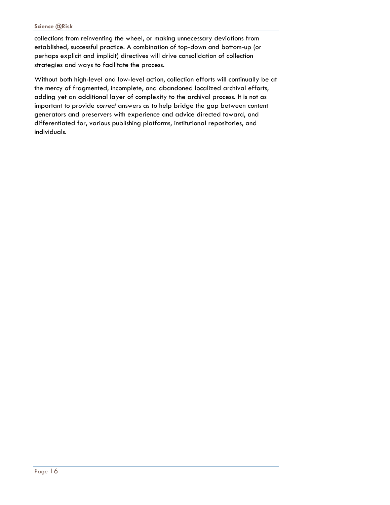#### **Science @Risk**

collections from reinventing the wheel, or making unnecessary deviations from established, successful practice. A combination of top-down and bottom-up (or perhaps explicit and implicit) directives will drive consolidation of collection strategies and ways to facilitate the process.

Without both high-level and low-level action, collection efforts will continually be at the mercy of fragmented, incomplete, and abandoned localized archival efforts, adding yet an additional layer of complexity to the archival process. It is not as important to provide *correct* answers as to help bridge the gap between content generators and preservers with experience and advice directed toward, and differentiated for, various publishing platforms, institutional repositories, and individuals.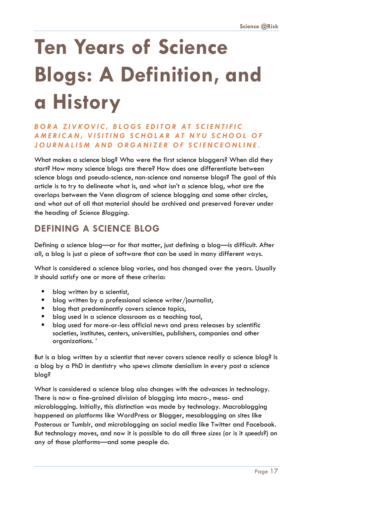# **Ten Years of Science Blogs: A Definition, and a History**

#### *BORA ZIVKOVIC, BLOGS EDITOR AT SCIENTIFIC*  **AMERICAN, VISITING SCHOLAR AT NYU SCHOOL OF** *JOURNALISM AND ORGANIZE R OF SCIENCEONLINE.*

What makes a science blog? Who were the first science bloggers? When did they start? How many science blogs are there? How does one differentiate between science blogs and pseudo-science, non-science and nonsense blogs? The goal of this article is to try to delineate what is, and what isn't a science blog, what are the overlaps between the Venn diagram of science blogging and some other circles, and what out of all that material should be archived and preserved forever under the heading of *Science Blogging*.

## **DEFINING A SCIENCE BLOG**

Defining a science blog—or for that matter, just defining a blog—is difficult. After all, a blog is just a piece of software that can be used in many different ways.

What is considered a science blog varies, and has changed over the years. Usually it should satisfy one or more of these criteria:

- blog written by a scientist,
- blog written by a professional science writer/journalist,
- blog that predominantly covers science topics,
- blog used in a science classroom as a teaching tool,
- blog used for more-or-less official news and press releases by scientific societies, institutes, centers, universities, publishers, companies and other organizations. '

But is a blog written by a scientist that never covers science really a science blog? Is a blog by a PhD in dentistry who spews climate denialism in every post a science blog?

What is considered a science blog also changes with the advances in technology. There is now a fine-grained division of blogging into macro-, meso- and microblogging. Initially, this distinction was made by technology. Macroblogging happened on platforms like WordPress or Blogger, mesoblogging on sites like Posterous or Tumblr, and microblogging on social media like Twitter and Facebook. But technology moves, and now it is possible to do all three *sizes* (or is it *speeds*?) on any of those platforms—and some people do.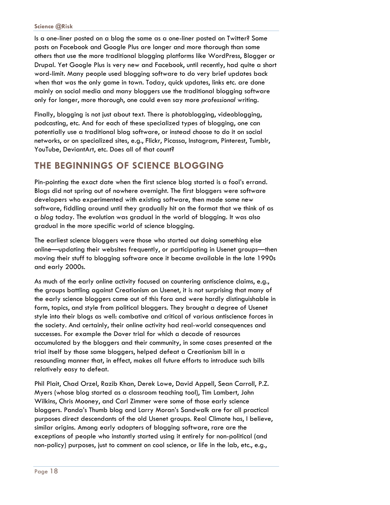Is a one-liner posted on a blog the same as a one-liner posted on Twitter? Some posts on Facebook and Google Plus are longer and more thorough than some others that use the more traditional blogging platforms like WordPress, Blogger or Drupal. Yet Google Plus is very new and Facebook, until recently, had quite a short word-limit. Many people used blogging software to do very brief updates back when that was the only game in town. Today, quick updates, links etc. are done mainly on social media and many bloggers use the traditional blogging software only for longer, more thorough, one could even say more *professional* writing.

Finally, blogging is not just about text. There is photoblogging, videoblogging, podcasting, etc. And for each of these specialized types of blogging, one can potentially use a traditional blog software, or instead choose to do it on social networks, or on specialized sites, e.g., Flickr, Picassa, Instagram, Pinterest, Tumblr, YouTube, DeviantArt, etc. Does all of that count?

## **THE BEGINNINGS OF SCIENCE BLOGGING**

Pin-pointing the exact date when the first science blog started is a fool's errand. Blogs did not spring out of nowhere overnight. The first bloggers were software developers who experimented with existing software, then made some new software, fiddling around until they gradually hit on the format that we think of as a *blog* today. The evolution was gradual in the world of blogging. It was also gradual in the more specific world of science blogging.

The earliest science bloggers were those who started out doing something else online—updating their websites frequently, or participating in Usenet groups—then moving their stuff to blogging software once it became available in the late 1990s and early 2000s.

As much of the early online activity focused on countering antiscience claims, e.g., the groups battling against Creationism on Usenet, it is not surprising that many of the early science bloggers came out of this fora and were hardly distinguishable in form, topics, and style from political bloggers. They brought a degree of Usenet style into their blogs as well: combative and critical of various antiscience forces in the society. And certainly, their online activity had real-world consequences and successes. For example the Dover trial for which a decade of resources accumulated by the bloggers and their community, in some cases presented at the trial itself by those same bloggers, helped defeat a Creationism bill in a resounding manner that, in effect, makes all future efforts to introduce such bills relatively easy to defeat.

Phil Plait, Chad Orzel, Razib Khan, Derek Lowe, David Appell, Sean Carroll, P.Z. Myers (whose blog started as a classroom teaching tool), Tim Lambert, John Wilkins, Chris Mooney, and Carl Zimmer were some of those early science bloggers. Panda's Thumb blog and Larry Moran's Sandwalk are for all practical purposes direct descendants of the old Usenet groups. Real Climate has, I believe, similar origins. Among early adopters of blogging software, rare are the exceptions of people who instantly started using it entirely for non-political (and non-policy) purposes, just to comment on cool science, or life in the lab, etc., e.g.,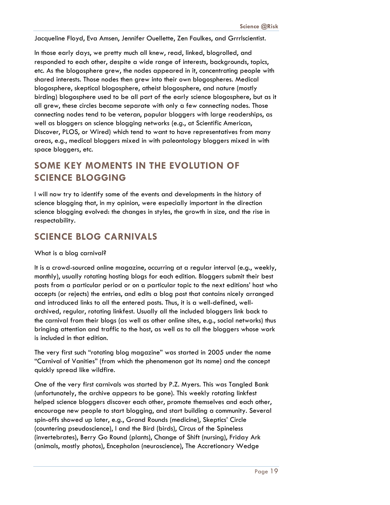Jacqueline Floyd, Eva Amsen, Jennifer Ouellette, Zen Faulkes, and Grrrlscientist.

In those early days, we pretty much all knew, read, linked, blogrolled, and responded to each other, despite a wide range of interests, backgrounds, topics, etc. As the blogosphere grew, the nodes appeared in it, concentrating people with shared interests. Those nodes then grew into their own blogospheres. Medical blogosphere, skeptical blogosphere, atheist blogosphere, and nature (mostly birding) blogosphere used to be all part of the early science blogosphere, but as it all grew, these circles became separate with only a few connecting nodes. Those connecting nodes tend to be veteran, popular bloggers with large readerships, as well as bloggers on science blogging networks (e.g., at Scientific American, Discover, PLOS, or Wired) which tend to want to have representatives from many areas, e.g., medical bloggers mixed in with paleontology bloggers mixed in with space bloggers, etc.

## **SOME KEY MOMENTS IN THE EVOLUTION OF SCIENCE BLOGGING**

I will now try to identify some of the events and developments in the history of science blogging that, in my opinion, were especially important in the direction science blogging evolved: the changes in styles, the growth in size, and the rise in respectability.

## **SCIENCE BLOG CARNIVALS**

#### What is a blog carnival?

It is a crowd-sourced online magazine, occurring at a regular interval (e.g., weekly, monthly), usually rotating hosting blogs for each edition. Bloggers submit their best posts from a particular period or on a particular topic to the next editions' host who accepts (or rejects) the entries, and edits a blog post that contains nicely arranged and introduced links to all the entered posts. Thus, it is a well-defined, wellarchived, regular, rotating linkfest. Usually all the included bloggers link back to the carnival from their blogs (as well as other online sites, e.g., social networks) thus bringing attention and traffic to the host, as well as to all the bloggers whose work is included in that edition.

The very first such "rotating blog magazine" was started in 2005 under the name "Carnival of Vanities" (from which the phenomenon got its name) and the concept quickly spread like wildfire.

One of the very first carnivals was started by P.Z. Myers. This was Tangled Bank (unfortunately, the archive appears to be gone). This weekly rotating linkfest helped science bloggers discover each other, promote themselves and each other, encourage new people to start blogging, and start building a community. Several spin-offs showed up later, e.g., Grand Rounds (medicine), Skeptics' Circle (countering pseudoscience), I and the Bird (birds), Circus of the Spineless (invertebrates), Berry Go Round (plants), Change of Shift (nursing), Friday Ark (animals, mostly photos), Encephalon (neuroscience), The Accretionary Wedge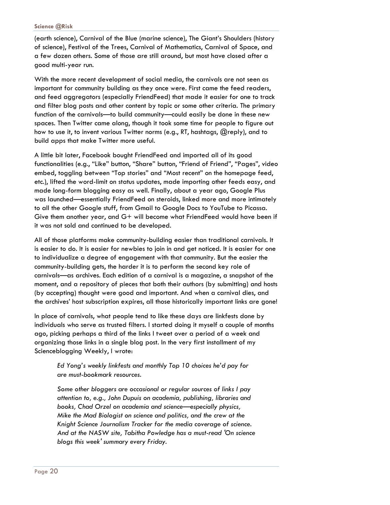#### **Science @Risk**

(earth science), Carnival of the Blue (marine science), The Giant's Shoulders (history of science), Festival of the Trees, Carnival of Mathematics, Carnival of Space, and a few dozen others. Some of those are still around, but most have closed after a good multi-year run.

With the more recent development of social media, the carnivals are not seen as important for community building as they once were. First came the feed readers, and feed aggregators (especially FriendFeed) that made it easier for one to track and filter blog posts and other content by topic or some other criteria. The primary function of the carnivals—to build community—could easily be done in these new spaces. Then Twitter came along, though it took some time for people to figure out how to use it, to invent various Twitter norms (e.g., RT, hashtags, @reply), and to build apps that make Twitter more useful.

A little bit later, Facebook bought FriendFeed and imported all of its good functionalities (e.g., "Like" button, "Share" button, "Friend of Friend", "Pages", video embed, toggling between "Top stories" and "Most recent" on the homepage feed, etc.), lifted the word-limit on status updates, made importing other feeds easy, and made long-form blogging easy as well. Finally, about a year ago, Google Plus was launched—essentially FriendFeed on steroids, linked more and more intimately to all the other Google stuff, from Gmail to Google Docs to YouTube to Picassa. Give them another year, and G+ will become what FriendFeed would have been if it was not sold and continued to be developed.

All of those platforms make community-building easier than traditional carnivals. It is easier to do. It is easier for newbies to join in and get noticed. It is easier for one to individualize a degree of engagement with that community. But the easier the community-building gets, the harder it is to perform the second key role of carnivals—as archives. Each edition of a carnival is a magazine, a snapshot of the moment, and a repository of pieces that both their authors (by submitting) and hosts (by accepting) thought were good and important. And when a carnival dies, and the archives' host subscription expires, all those historically important links are gone!

In place of carnivals, what people tend to like these days are linkfests done by individuals who serve as trusted filters. I started doing it myself a couple of months ago, picking perhaps a third of the links I tweet over a period of a week and organizing those links in a single blog post. In the very first installment of my Scienceblogging Weekly, I wrote:

*Ed Yong's weekly linkfests and monthly Top 10 choices he'd pay for are must-bookmark resources.* 

*Some other bloggers are occasional or regular sources of links I pay attention to, e.g., John Dupuis on academia, publishing, libraries and books, Chad Orzel on academia and science—especially physics, Mike the Mad Biologist on science and politics, and the crew at the Knight Science Journalism Tracker for the media coverage of science. And at the NASW site, Tabitha Powledge has a must-read 'On science blogs this week' summary every Friday.*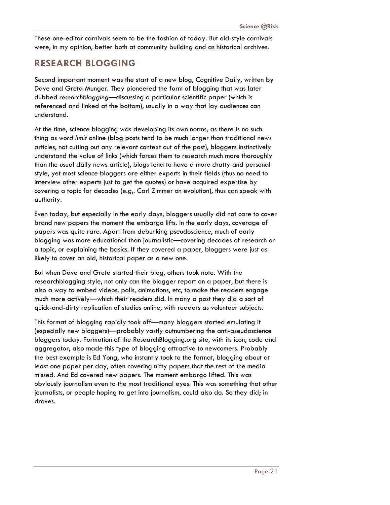These one-editor carnivals seem to be the fashion of today. But old-style carnivals were, in my opinion, better both at community building and as historical archives.

## **RESEARCH BLOGGING**

Second important moment was the start of a new blog, Cognitive Daily, written by Dave and Greta Munger. They pioneered the form of blogging that was later dubbed *researchblogging*—discussing a particular scientific paper (which is referenced and linked at the bottom), usually in a way that lay audiences can understand.

At the time, science blogging was developing its own norms, as there is no such thing as *word limit* online (blog posts tend to be much longer than traditional news articles, not cutting out any relevant context out of the post), bloggers instinctively understand the value of links (which forces them to research much more thoroughly than the usual daily news article), blogs tend to have a more chatty and personal style, yet most science bloggers are either experts in their fields (thus no need to interview other experts just to get the quotes) or have acquired expertise by covering a topic for decades (e.g,. Carl Zimmer on evolution), thus can speak with authority.

Even today, but especially in the early days, bloggers usually did not care to cover brand new papers the moment the embargo lifts. In the early days, coverage of papers was quite rare. Apart from debunking pseudoscience, much of early blogging was more educational than journalistic—covering decades of research on a topic, or explaining the basics. If they covered a paper, bloggers were just as likely to cover an old, historical paper as a new one.

But when Dave and Greta started their blog, others took note. With the researchblogging style, not only can the blogger report on a paper, but there is also a way to embed videos, polls, animations, etc, to make the readers engage much more actively—which their readers did. In many a post they did a sort of quick-and-dirty replication of studies online, with readers as volunteer subjects.

This format of blogging rapidly took off—many bloggers started emulating it (especially new bloggers)—probably vastly outnumbering the anti-pseudoscience bloggers today. Formation of the ResearchBlogging.org site, with its icon, code and aggregator, also made this type of blogging attractive to newcomers. Probably the best example is Ed Yong, who instantly took to the format, blogging about at least one paper per day, often covering nifty papers that the rest of the media missed. And Ed covered new papers. The moment embargo lifted. This was obviously journalism even to the most traditional eyes. This was something that other journalists, or people hoping to get into journalism, could also do. So they did; in droves.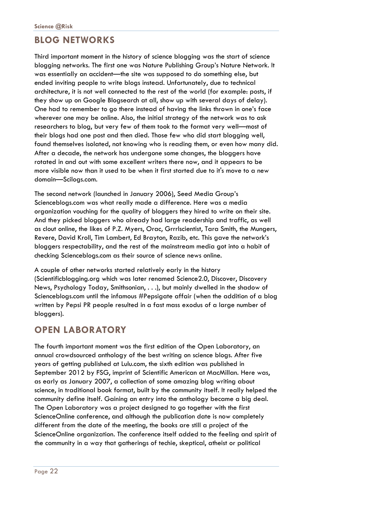## **BLOG NETWORKS**

Third important moment in the history of science blogging was the start of science blogging networks. The first one was Nature Publishing Group's Nature Network. It was essentially an accident—the site was supposed to do something else, but ended inviting people to write blogs instead. Unfortunately, due to technical architecture, it is not well connected to the rest of the world (for example: posts, if they show up on Google Blogsearch at all, show up with several days of delay). One had to remember to go there instead of having the links thrown in one's face wherever one may be online. Also, the initial strategy of the network was to ask researchers to blog, but very few of them took to the format very well—most of their blogs had one post and then died. Those few who did start blogging well, found themselves isolated, not knowing who is reading them, or even how many did. After a decade, the network has undergone some changes, the bloggers have rotated in and out with some excellent writers there now, and it appears to be more visible now than it used to be when it first started due to it's move to a new domain—Scilogs.com.

The second network (launched in January 2006), Seed Media Group's Scienceblogs.com was what really made a difference. Here was a media organization vouching for the quality of bloggers they hired to write on their site. And they picked bloggers who already had large readership and traffic, as well as clout online, the likes of P.Z. Myers, Orac, Grrrlscientist, Tara Smith, the Mungers, Revere, David Kroll, Tim Lambert, Ed Brayton, Razib, etc. This gave the network's bloggers respectability, and the rest of the mainstream media got into a habit of checking Scienceblogs.com as their source of science news online.

A couple of other networks started relatively early in the history (Scientificblogging.org which was later renamed Science2.0, Discover, Discovery News, Psychology Today, Smithsonian, . . .), but mainly dwelled in the shadow of Scienceblogs.com until the infamous #Pepsigate affair (when the addition of a blog written by Pepsi PR people resulted in a fast mass exodus of a large number of bloggers).

## **OPEN LABORATORY**

The fourth important moment was the first edition of the Open Laboratory, an annual crowdsourced anthology of the best writing on science blogs. After five years of getting published at Lulu.com, the sixth edition was published in September 2012 by FSG, imprint of Scientific American at MacMillan. Here was, as early as January 2007, a collection of some amazing blog writing about science, in traditional book format, built by the community itself. It really helped the community define itself. Gaining an entry into the anthology became a big deal. The Open Laboratory was a project designed to go together with the first ScienceOnline conference, and although the publication date is now completely different from the date of the meeting, the books are still a project of the ScienceOnline organization. The conference itself added to the feeling and spirit of the community in a way that gatherings of techie, skeptical, atheist or political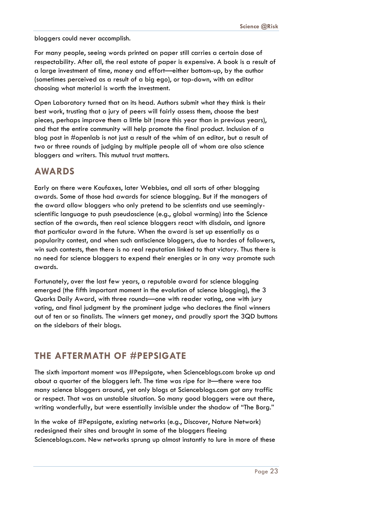bloggers could never accomplish.

For many people, seeing words printed on paper still carries a certain dose of respectability. After all, the real estate of paper is expensive. A book is a result of a large investment of time, money and effort—either bottom-up, by the author (sometimes perceived as a result of a big ego), or top-down, with an editor choosing what material is worth the investment.

Open Laboratory turned that on its head. Authors submit what they think is their best work, trusting that a jury of peers will fairly assess them, choose the best pieces, perhaps improve them a little bit (more this year than in previous years), and that the entire community will help promote the final product. Inclusion of a blog post in #openlab is not just a result of the whim of an editor, but a result of two or three rounds of judging by multiple people all of whom are also science bloggers and writers. This mutual trust matters.

## **AWARDS**

Early on there were Koufaxes, later Webbies, and all sorts of other blogging awards. Some of those had awards for science blogging. But if the managers of the award allow bloggers who only pretend to be scientists and use seeminglyscientific language to push pseudoscience (e.g., global warming) into the Science section of the awards, then real science bloggers react with disdain, and ignore that particular award in the future. When the award is set up essentially as a popularity contest, and when such antiscience bloggers, due to hordes of followers, win such contests, then there is no real reputation linked to that victory. Thus there is no need for science bloggers to expend their energies or in any way promote such awards.

Fortunately, over the last few years, a reputable award for science blogging emerged (the fifth important moment in the evolution of science blogging), the 3 Quarks Daily Award, with three rounds—one with reader voting, one with jury voting, and final judgment by the prominent judge who declares the final winners out of ten or so finalists. The winners get money, and proudly sport the 3QD buttons on the sidebars of their blogs.

## **THE AFTERMATH OF #PEPSIGATE**

The sixth important moment was #Pepsigate, when Scienceblogs.com broke up and about a quarter of the bloggers left. The time was ripe for it—there were too many science bloggers around, yet only blogs at Scienceblogs.com got any traffic or respect. That was an unstable situation. So many good bloggers were out there, writing wonderfully, but were essentially invisible under the shadow of "The Borg."

In the wake of #Pepsigate, existing networks (e.g., Discover, Nature Network) redesigned their sites and brought in some of the bloggers fleeing Scienceblogs.com. New networks sprung up almost instantly to lure in more of these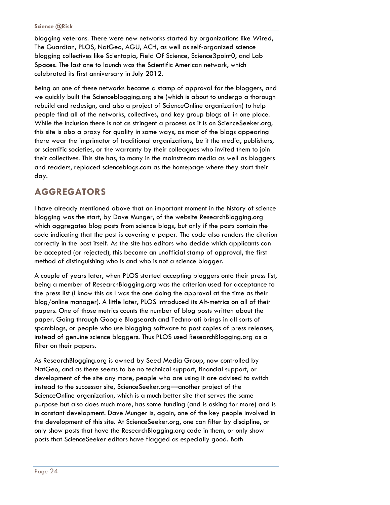blogging veterans. There were new networks started by organizations like Wired, The Guardian, PLOS, NatGeo, AGU, ACH, as well as self-organized science blogging collectives like Scientopia, Field Of Science, Science3point0, and Lab Spaces. The last one to launch was the Scientific American network, which celebrated its first anniversary in July 2012.

Being on one of these networks became a stamp of approval for the bloggers, and we quickly built the Scienceblogging.org site (which is about to undergo a thorough rebuild and redesign, and also a project of ScienceOnline organization) to help people find all of the networks, collectives, and key group blogs all in one place. While the inclusion there is not as stringent a process as it is on ScienceSeeker.org, this site is also a proxy for quality in some ways, as most of the blogs appearing there wear the imprimatur of traditional organizations, be it the media, publishers, or scientific societies, or the warranty by their colleagues who invited them to join their collectives. This site has, to many in the mainstream media as well as bloggers and readers, replaced scienceblogs.com as the homepage where they start their day.

## **AGGREGATORS**

I have already mentioned above that an important moment in the history of science blogging was the start, by Dave Munger, of the website ResearchBlogging.org which aggregates blog posts from science blogs, but only if the posts contain the code indicating that the post is covering a paper. The code also renders the citation correctly in the post itself. As the site has editors who decide which applicants can be accepted (or rejected), this became an unofficial stamp of approval, the first method of distinguishing who is and who is not a science blogger.

A couple of years later, when PLOS started accepting bloggers onto their press list, being a member of ResearchBlogging.org was the criterion used for acceptance to the press list (I know this as I was the one doing the approval at the time as their blog/online manager). A little later, PLOS introduced its Alt-metrics on all of their papers. One of those metrics counts the number of blog posts written about the paper. Going through Google Blogsearch and Technorati brings in all sorts of spamblogs, or people who use blogging software to post copies of press releases, instead of genuine science bloggers. Thus PLOS used ResearchBlogging.org as a filter on their papers.

As ResearchBlogging.org is owned by Seed Media Group, now controlled by NatGeo, and as there seems to be no technical support, financial support, or development of the site any more, people who are using it are advised to switch instead to the successor site, ScienceSeeker.org—another project of the ScienceOnline organization, which is a much better site that serves the same purpose but also does much more, has some funding (and is asking for more) and is in constant development. Dave Munger is, again, one of the key people involved in the development of this site. At ScienceSeeker.org, one can filter by discipline, or only show posts that have the ResearchBlogging.org code in them, or only show posts that ScienceSeeker editors have flagged as especially good. Both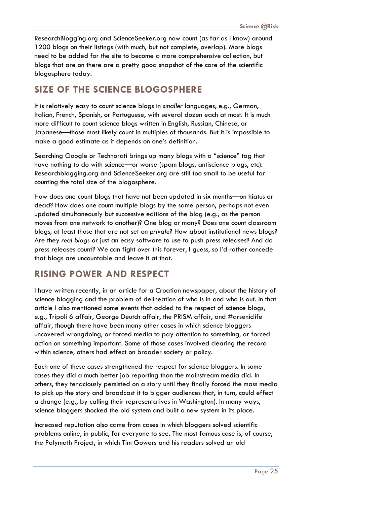ResearchBlogging.org and ScienceSeeker.org now count (as far as I know) around 1200 blogs on their listings (with much, but not complete, overlap). More blogs need to be added for the site to become a more comprehensive collection, but blogs that are on there are a pretty good snapshot of the core of the scientific blogosphere today.

## **SIZE OF THE SCIENCE BLOGOSPHERE**

It is relatively easy to count science blogs in *smaller* languages, e.g., German, Italian, French, Spanish, or Portuguese, with several dozen each at most. It is much more difficult to count science blogs written in English, Russian, Chinese, or Japanese—those most likely count in multiples of thousands. But it is impossible to make a good estimate as it depends on one's definition.

Searching Google or Technorati brings up many blogs with a "science" tag that have nothing to do with science—or worse (spam blogs, antiscience blogs, etc). Researchblogging.org and ScienceSeeker.org are still too small to be useful for counting the total size of the blogosphere.

How does one count blogs that have not been updated in six months—on hiatus or dead? How does one count multiple blogs by the same person, perhaps not even updated simultaneously but successive editions of the blog (e.g., as the person moves from one network to another)? One blog or many? Does one count classroom blogs, at least those that are not set on *private*? How about institutional news blogs? Are they *real blogs* or just an easy software to use to push press releases? And do press releases count? We can fight over this forever, I guess, so I'd rather concede that blogs are uncountable and leave it at that.

## **RISING POWER AND RESPECT**

I have written recently, in an article for a Croatian newspaper, about the history of science blogging and the problem of delineation of who is in and who is out. In that article I also mentioned some events that added to the respect of science blogs, e.g., Tripoli 6 affair, George Deutch affair, the PRISM affair, and #arseniclife affair, though there have been many other cases in which science bloggers uncovered wrongdoing, or forced media to pay attention to something, or forced action on something important. Some of those cases involved clearing the record within science, others had effect on broader society or policy.

Each one of these cases strengthened the respect for science bloggers. In some cases they did a much better job reporting than the mainstream media did. In others, they tenaciously persisted on a story until they finally forced the mass media to pick up the story and broadcast it to bigger audiences that, in turn, could effect a change (e.g., by calling their representatives in Washington). In many ways, science bloggers shocked the old system and built a new system in its place.

Increased reputation also came from cases in which bloggers solved scientific problems online, in public, for everyone to see. The most famous case is, of course, the Polymath Project, in which Tim Gowers and his readers solved an old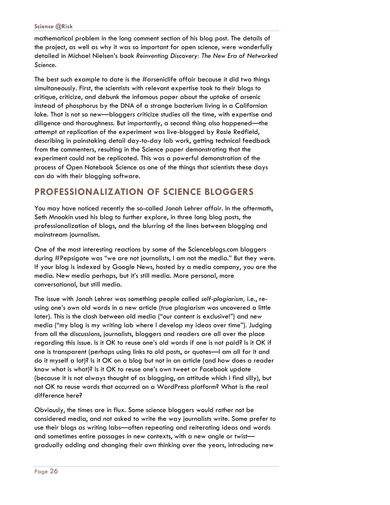mathematical problem in the long comment section of his blog post. The details of the project, as well as why it was so important for open science, were wonderfully detailed in Michael Nielsen's book *Reinventing Discovery: The New Era of Networked Science.*

The best such example to date is the #arseniclife affair because it did two things simultaneously. First, the scientists with relevant expertise took to their blogs to critique, criticize, and debunk the infamous paper about the uptake of arsenic instead of phosphorus by the DNA of a strange bacterium living in a Californian lake. That is not so new—bloggers criticize studies all the time, with expertise and diligence and thoroughness. But importantly, a second thing also happened—the attempt at replication of the experiment was live-blogged by Rosie Redfield, describing in painstaking detail day-to-day lab work, getting technical feedback from the commenters, resulting in the Science paper demonstrating that the experiment could not be replicated. This was a powerful demonstration of the process of Open Notebook Science as one of the things that scientists these days can do with their blogging software.

## **PROFESSIONALIZATION OF SCIENCE BLOGGERS**

You may have noticed recently the so-called Jonah Lehrer affair. In the aftermath, Seth Mnookin used his blog to further explore, in three long blog posts, the professionalization of blogs, and the blurring of the lines between blogging and mainstream journalism.

One of the most interesting reactions by some of the Scienceblogs.com bloggers during #Pepsigate was "we are not journalists, I am not the media." But they were. If your blog is indexed by Google News, hosted by a media company, you are the media. New media perhaps, but it's still media. More personal, more conversational, but still media.

The issue with Jonah Lehrer was something people called *self-plagiarism,* i.e., reusing one's own old words in a new article (true plagiarism was uncovered a little later). This is the clash between old media ("our content is exclusive!") and new media ("my blog is my writing lab where I develop my ideas over time"). Judging from all the discussions, journalists, bloggers and readers are all over the place regarding this issue. Is it OK to reuse one's old words if one is not paid? Is it OK if one is transparent (perhaps using links to old posts, or quotes—I am all for it and do it myself a lot)? Is it OK on a blog but not in an article (and how does a reader know what is what)? Is it OK to reuse one's own tweet or Facebook update (because it is not always thought of as blogging, an attitude which I find silly), but not OK to reuse words that occurred on a WordPress platform? What is the real difference here?

Obviously, the times are in flux. Some science bloggers would rather not be considered media, and not asked to write the way journalists write. Some prefer to use their blogs as writing labs—often repeating and reiterating ideas and words and sometimes entire passages in new contexts, with a new angle or twist gradually adding and changing their own thinking over the years, introducing new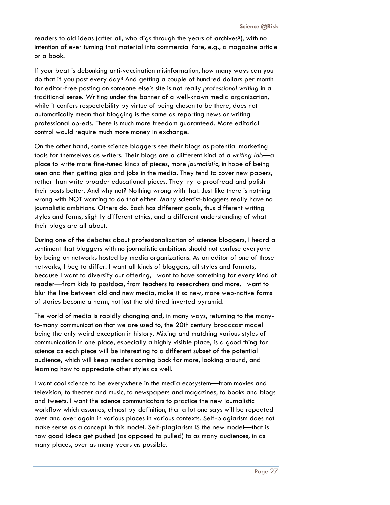readers to old ideas (after all, who digs through the years of archives?), with no intention of ever turning that material into commercial fare, e.g., a magazine article or a book.

If your beat is debunking anti-vaccination misinformation, how many ways can you do that if you post every day? And getting a couple of hundred dollars per month for editor-free posting on someone else's site is not really *professional writing* in a traditional sense. Writing under the banner of a well-known media organization, while it confers respectability by virtue of being chosen to be there, does not automatically mean that blogging is the same as reporting news or writing professional op-eds. There is much more freedom guaranteed. More editorial control would require much more money in exchange.

On the other hand, some science bloggers see their blogs as potential marketing tools for themselves as writers. Their blogs are a different kind of a *writing lab*—a place to write more fine-tuned kinds of pieces, more *journalistic*, in hope of being seen and then getting gigs and jobs in the media. They tend to cover new papers, rather than write broader educational pieces. They try to proofread and polish their posts better. And why not? Nothing wrong with that. Just like there is nothing wrong with NOT wanting to do that either. Many scientist-bloggers really have no journalistic ambitions. Others do. Each has different goals, thus different writing styles and forms, slightly different ethics, and a different understanding of what their blogs are all about.

During one of the debates about professionalization of science bloggers, I heard a sentiment that bloggers with no journalistic ambitions should not confuse everyone by being on networks hosted by media organizations. As an editor of one of those networks, I beg to differ. I want all kinds of bloggers, all styles and formats, because I want to diversify our offering, I want to have something for every kind of reader—from kids to postdocs, from teachers to researchers and more. I want to blur the line between old and new media, make it so new, more web-native forms of stories become a norm, not just the old tired inverted pyramid.

The world of media is rapidly changing and, in many ways, returning to the manyto-many communication that we are used to, the 20th century broadcast model being the only weird exception in history. Mixing and matching various styles of communication in one place, especially a highly visible place, is a good thing for science as each piece will be interesting to a different subset of the potential audience, which will keep readers coming back for more, looking around, and learning how to appreciate other styles as well.

I want cool science to be everywhere in the media ecosystem—from movies and television, to theater and music, to newspapers and magazines, to books and blogs and tweets. I want the science communicators to practice the new journalistic workflow which assumes, almost by definition, that a lot one says will be repeated over and over again in various places in various contexts. Self-plagiarism does not make sense as a concept in this model. Self-plagiarism IS the new model—that is how good ideas get pushed (as opposed to pulled) to as many audiences, in as many places, over as many years as possible.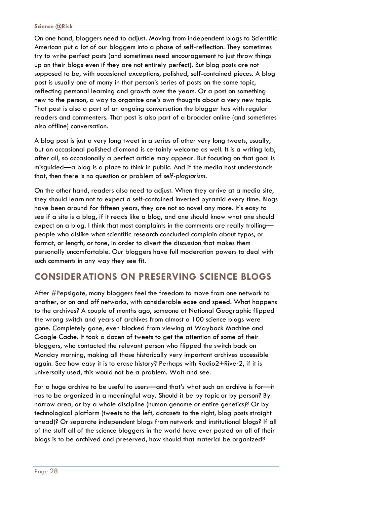On one hand, bloggers need to adjust. Moving from independent blogs to Scientific American put a lot of our bloggers into a phase of self-reflection. They sometimes try to write perfect posts (and sometimes need encouragement to just throw things up on their blogs even if they are not entirely perfect). But blog posts are not supposed to be, with occasional exceptions, polished, self-contained pieces. A blog post is usually one of many in that person's series of posts on the same topic, reflecting personal learning and growth over the years. Or a post on something new to the person, a way to organize one's own thoughts about a very new topic. That post is also a part of an ongoing conversation the blogger has with regular readers and commenters. That post is also part of a broader online (and sometimes also offline) conversation.

A blog post is just a very long tweet in a series of other very long tweets, usually, but an occasional polished diamond is certainly welcome as well. It is a writing lab, after all, so occasionally a perfect article may appear. But focusing on that goal is misguided—a blog is a place to think in public. And if the media host understands that, then there is no question or problem of *self-plagiarism*.

On the other hand, readers also need to adjust. When they arrive at a media site, they should learn not to expect a self-contained inverted pyramid every time. Blogs have been around for fifteen years, they are not so novel any more. It's easy to see if a site is a blog, if it reads like a blog, and one should know what one should expect on a blog. I think that most complaints in the comments are really trolling people who dislike what scientific research concluded complain about typos, or format, or length, or tone, in order to divert the discussion that makes them personally uncomfortable. Our bloggers have full moderation powers to deal with such comments in any way they see fit.

## **CONSIDERATIONS ON PRESERVING SCIENCE BLOGS**

After #Pepsigate, many bloggers feel the freedom to move from one network to another, or on and off networks, with considerable ease and speed. What happens to the archives? A couple of months ago, someone at National Geographic flipped the wrong switch and years of archives from almost a 100 science blogs were gone. Completely gone, even blocked from viewing at Wayback Machine and Google Cache. It took a dozen of tweets to get the attention of some of their bloggers, who contacted the relevant person who flipped the switch back on Monday morning, making all those historically very important archives accessible again. See how easy it is to erase history? Perhaps with Radio2+River2, if it is universally used, this would not be a problem. Wait and see.

For a huge archive to be useful to users—and that's what such an archive is for—it has to be organized in a meaningful way. Should it be by topic or by person? By narrow area, or by a whole discipline (human genome or entire genetics)? Or by technological platform (tweets to the left, datasets to the right, blog posts straight ahead)? Or separate independent blogs from network and institutional blogs? If all of the stuff all of the science bloggers in the world have ever posted on all of their blogs is to be archived and preserved, how should that material be organized?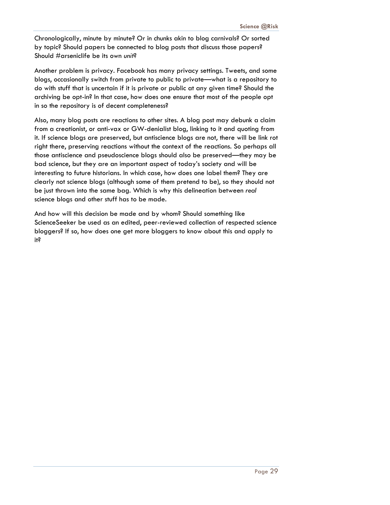Chronologically, minute by minute? Or in chunks akin to blog carnivals? Or sorted by topic? Should papers be connected to blog posts that discuss those papers? Should #arseniclife be its own *unit*?

Another problem is privacy. Facebook has many privacy settings. Tweets, and some blogs, occasionally switch from private to public to private—what is a repository to do with stuff that is uncertain if it is private or public at any given time? Should the archiving be opt-in? In that case, how does one ensure that most of the people opt in so the repository is of decent completeness?

Also, many blog posts are reactions to other sites. A blog post may debunk a claim from a creationist, or anti-vax or GW-denialist blog, linking to it and quoting from it. If science blogs are preserved, but antiscience blogs are not, there will be link rot right there, preserving reactions without the context of the reactions. So perhaps all those antiscience and pseudoscience blogs should also be preserved—they may be bad science, but they are an important aspect of today's society and will be interesting to future historians. In which case, how does one label them? They are clearly not science blogs (although some of them pretend to be), so they should not be just thrown into the same bag. Which is why this delineation between *real* science blogs and other stuff has to be made.

And how will this decision be made and by whom? Should something like ScienceSeeker be used as an edited, peer-reviewed collection of respected science bloggers? If so, how does one get more bloggers to know about this and apply to it?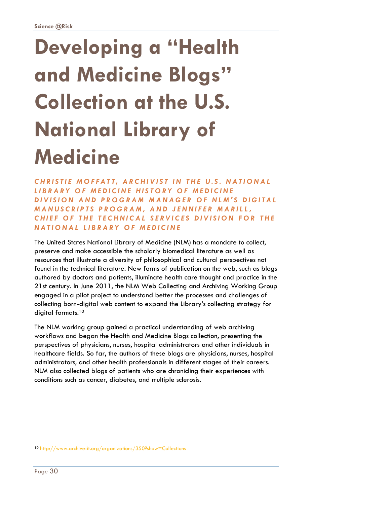## **Developing a "Health and Medicine Blogs" Collection at the U.S. National Library of Medicine**

*CHRISTIE MOFFATT, ARCHIVIST IN THE U.S. NATIONAL LIBRARY OF MEDICINE HISTORY OF MEDICINE DIVISION AND PROGRAM MA NAGER OF NLM'S DIGITAL MANUSCRIPTS PROGRAM, AND JENNIFER MARILL, CHIEF OF THE TECHNICAL SER VICES DIVISION FOR THE NATIONAL LIBRARY OF MEDICINE* 

The United States National Library of Medicine (NLM) has a mandate to collect, preserve and make accessible the scholarly biomedical literature as well as resources that illustrate a diversity of philosophical and cultural perspectives not found in the technical literature. New forms of publication on the web, such as blogs authored by doctors and patients, illuminate health care thought and practice in the 21st century. In June 2011, the NLM Web Collecting and Archiving Working Group engaged in a pilot project to understand better the processes and challenges of collecting born-digital web content to expand the Library's collecting strategy for digital formats.<sup>10</sup>

The NLM working group gained a practical understanding of web archiving workflows and began the Health and Medicine Blogs collection, presenting the perspectives of physicians, nurses, hospital administrators and other individuals in healthcare fields. So far, the authors of these blogs are physicians, nurses, hospital administrators, and other health professionals in different stages of their careers. NLM also collected blogs of patients who are chronicling their experiences with conditions such as cancer, diabetes, and multiple sclerosis.

l

<sup>10</sup> http://www.archive-it.org/organizations/350?show=Collections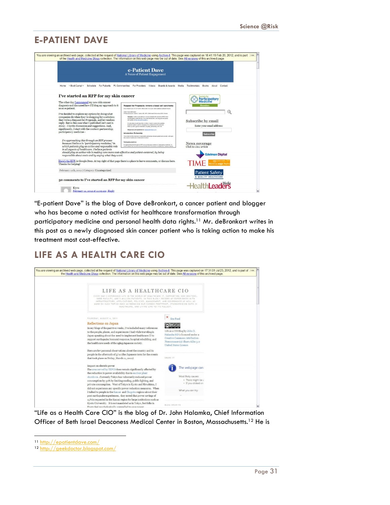## **E-PATIENT DAVE**

|                                                                                                                                                                                                                                                                                                                                                                   | e-Patient Dave<br>A Voice of Patient Engagement                                                                                                                                                                                                                                                                                                                                                                                                                                                                                                                                                                                                                                                                                                                                     |                                                              |
|-------------------------------------------------------------------------------------------------------------------------------------------------------------------------------------------------------------------------------------------------------------------------------------------------------------------------------------------------------------------|-------------------------------------------------------------------------------------------------------------------------------------------------------------------------------------------------------------------------------------------------------------------------------------------------------------------------------------------------------------------------------------------------------------------------------------------------------------------------------------------------------------------------------------------------------------------------------------------------------------------------------------------------------------------------------------------------------------------------------------------------------------------------------------|--------------------------------------------------------------|
| > Boot Campl < Schedule For Patients<br>Home                                                                                                                                                                                                                                                                                                                      | Pt Communities For Providers<br>Videos<br>Boards & Awards                                                                                                                                                                                                                                                                                                                                                                                                                                                                                                                                                                                                                                                                                                                           | Media<br>Testimonials<br>Books<br>About<br>Contact           |
| I've started an RFP for my skin cancer<br>The other day I announced my new skin cancer                                                                                                                                                                                                                                                                            |                                                                                                                                                                                                                                                                                                                                                                                                                                                                                                                                                                                                                                                                                                                                                                                     | <b>Participatory</b><br>Medicine                             |
| diagnosis and discussed how I'll blog my approach to it<br>as an e-patient.                                                                                                                                                                                                                                                                                       | Request for Proposals: remove a basal cell carcinoma<br>First version 9 a.m. ET 2/11/2012 Minor edits 12:37 pm. Some additions labeled E.20 pm.                                                                                                                                                                                                                                                                                                                                                                                                                                                                                                                                                                                                                                     | <b>Member</b>                                                |
| I've decided to explore my options by doing what<br>companies do when they're shopping for a solution:<br>they write a Request for Proposals, and let vendors<br>reply. But in this case what I published isn't cast in<br>stone - I invite discussion and suggestions. And,<br>significantly. I start with the context: partnership:<br>participatory medicine - | Clert Dave deBronkart<br>Primary physician Classel Z. Sands, MD. MPH, Beth Israel Deaconess (BD), Bosto<br>Summary: I seek a cars partner to remove a basal cell carcinoma (DCC) from<br>my left jawine, under the ear. For a brief introduction, see blog post and photo<br>from qualify) at http://bt.b/mTCaymECC<br>I'm educating myself about the condition, I want to explore the available<br>treatment options, and fm"shopping" for a partner to do the work and<br>follow-up with a good combination of quality, partnership, and cost.<br>Responses and questions to: Collegaterstave.com<br>Introduction: Partnership<br>The context for this exercise is responsible partnership between patient and provider, with open<br>documen of wants and of what works for each | Subscribe by email<br>Enter your email address:<br>Subscribe |
| I'm approaching this through an RFP process<br>because I believe in "participatory medicine," in<br>which patients play an active and responsible role<br>in all aspects of healthcare. I believe patients                                                                                                                                                        | Participatory medicine<br>This approaching this through an RFP process because I believe in "participatory medicine," in                                                                                                                                                                                                                                                                                                                                                                                                                                                                                                                                                                                                                                                            | <b>News coverage</b><br>Click to view article                |
| should play an active role in making care more cost-effective and patient-centered, by being<br>responsible about costs and by saying what they want.                                                                                                                                                                                                             |                                                                                                                                                                                                                                                                                                                                                                                                                                                                                                                                                                                                                                                                                                                                                                                     | <b>Edelman Digital</b>                                       |
| Here's the RFF, in Google Docs. At top right of that page there's a place to leave comments, or discuss here.<br>Thanks for helping!                                                                                                                                                                                                                              |                                                                                                                                                                                                                                                                                                                                                                                                                                                                                                                                                                                                                                                                                                                                                                                     | <b>MEDICAL edge Radi</b>                                     |
| February 11th, 2012   Category: Uncategorized                                                                                                                                                                                                                                                                                                                     |                                                                                                                                                                                                                                                                                                                                                                                                                                                                                                                                                                                                                                                                                                                                                                                     | <b>Patient Safety</b>                                        |
| 30 comments to I've started an RFP for my skin cancer                                                                                                                                                                                                                                                                                                             |                                                                                                                                                                                                                                                                                                                                                                                                                                                                                                                                                                                                                                                                                                                                                                                     | & QUALITY HEALTHCARE<br><b>HealthLeaders</b>                 |

"E-patient Dave" is the blog of Dave deBronkart, a cancer patient and blogger who has become a noted activist for healthcare transformation through participatory medicine and personal health data rights.<sup>11</sup> Mr. deBronkart writes in this post as a newly diagnosed skin cancer patient who is taking action to make his treatment most cost-effective.

## **LIFE AS A HEALTH CARE CIO**

| LIFE AS A HEALTHCARE CIO                                                                                                                                                                                                                                                                                                                                                                    |                                                                                         |                    |  |
|---------------------------------------------------------------------------------------------------------------------------------------------------------------------------------------------------------------------------------------------------------------------------------------------------------------------------------------------------------------------------------------------|-----------------------------------------------------------------------------------------|--------------------|--|
| EVERY DAY I EXPERIENCE LIFE IN THE WORLD OF HEALTHCARE IT. SUPPORTING 3000 DOCTORS.<br>18000 FACULTY, AND 3 MILLION PATIENTS, IN THIS BLOG I RECORD MY EXPERIENCES WITH<br>INFRASTRUCTURE, APPLICATIONS, POLICIES, MANAGEMENT, AND GOVERNANCE AS WELL AS<br>MUSE ON SUCH TOPICS SUCH AS REDUCING OUR CARBON FOOTPRINT, STANDARDIZING DATA IN<br>HEALTHCARE, AND LIVING LIFE TO ITS FULLEST. |                                                                                         |                    |  |
| THURSDAY, AUGUST 4, 2011                                                                                                                                                                                                                                                                                                                                                                    | <b>Site Feed</b>                                                                        |                    |  |
| <b>Reflections on Japan</b>                                                                                                                                                                                                                                                                                                                                                                 | <u>@ 000</u>                                                                            |                    |  |
| In my blogs of the past two weeks, I've included many references<br>to the people, places, and experiences I had while traveling in<br>Japan speaking about the need to implement healthcare IT to                                                                                                                                                                                          | Life as a CIO Blog by John D.<br>Halamka MD is licensed under a                         |                    |  |
| support earthquake/tsunami response, hospital rebuilding, and<br>the healthcare needs of the aging Japanese society.                                                                                                                                                                                                                                                                        | Creative Commons Attribution-<br>Noncommercial-Share Alike 3.0<br>United States License |                    |  |
| Here are few personal observations about the country and its                                                                                                                                                                                                                                                                                                                                |                                                                                         |                    |  |
| people in the aftermath of $3/11$ (the Japanese term for the events<br>that took place on Friday, March 11, 2011)                                                                                                                                                                                                                                                                           | SHARE IT                                                                                |                    |  |
| Impact on electric power<br>The area served by TEPCO does remain significantly affected by<br>the reduction in power availability due to nuclear plant                                                                                                                                                                                                                                      |                                                                                         | The webpage can    |  |
| shutdown . Currently Tokyo has voluntarily reduced power                                                                                                                                                                                                                                                                                                                                    | Most likely causes:                                                                     |                    |  |
| consumption by 30% by limiting cooling, public lighting, and                                                                                                                                                                                                                                                                                                                                |                                                                                         | · There might be a |  |
| private consumption. West of Tokyo in Kyoto and Hiroshima, I                                                                                                                                                                                                                                                                                                                                |                                                                                         | · If you dicked on |  |
| did not experience any specific power reduction measures. When                                                                                                                                                                                                                                                                                                                              | What you can try:                                                                       |                    |  |
| I talked to people in the Kansai and Chugoku regions about their<br>post earthquake experiences, they noted that power savings of                                                                                                                                                                                                                                                           |                                                                                         |                    |  |
| 15% is requested in the Kansai region for large institutions such as                                                                                                                                                                                                                                                                                                                        |                                                                                         |                    |  |
| Kyoto University. It is not mandated as in Tokyo, but folks in                                                                                                                                                                                                                                                                                                                              |                                                                                         |                    |  |
| Kyoto feel nsychologically compelled to save power                                                                                                                                                                                                                                                                                                                                          | BLOG ARCHIVE                                                                            |                    |  |

"Life as a Health Care CIO" is the blog of Dr. John Halamka, Chief Information Officer of Beth Israel Deaconess Medical Center in Boston, Massachusetts.12 He is

-

<sup>&</sup>lt;sup>11</sup> http://epatientdave.com/

<sup>12</sup> http://geekdoctor.blogspot.com/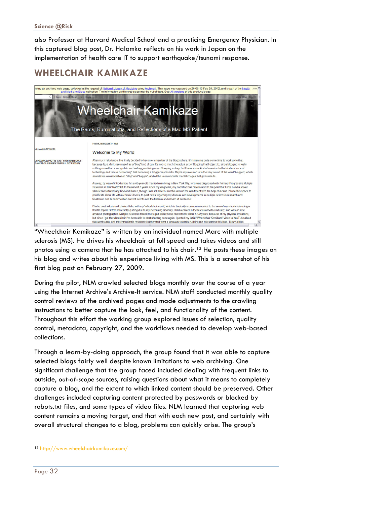also Professor at Harvard Medical School and a practicing Emergency Physician. In this captured blog post, Dr. Halamka reflects on his work in Japan on the implementation of health care IT to support earthquake/tsunami response.

## **WHEELCHAIR KAMIKAZE**



"Wheelchair Kamikaze" is written by an individual named Marc with multiple sclerosis (MS). He drives his wheelchair at full speed and takes videos and still photos using a camera that he has attached to his chair.<sup>13</sup> He posts these images on his blog and writes about his experience living with MS. This is a screenshot of his first blog post on February 27, 2009.

During the pilot, NLM crawled selected blogs monthly over the course of a year using the Internet Archive's Archive-It service. NLM staff conducted monthly quality control reviews of the archived pages and made adjustments to the crawling instructions to better capture the look, feel, and functionality of the content. Throughout this effort the working group explored issues of selection, quality control, metadata, copyright, and the workflows needed to develop web-based collections.

Through a learn-by-doing approach, the group found that it was able to capture selected blogs fairly well despite known limitations to web archiving. One significant challenge that the group faced included dealing with frequent links to outside, *out-of-scope* sources, raising questions about what it means to completely capture a blog, and the extent to which linked content should be preserved. Other challenges included capturing content protected by passwords or blocked by robots.txt files, and some types of video files. NLM learned that capturing web content remains a moving target, and that with each new post, and certainly with overall structural changes to a blog, problems can quickly arise. The group's

l

<sup>13</sup> http://www.wheelchairkamikaze.com/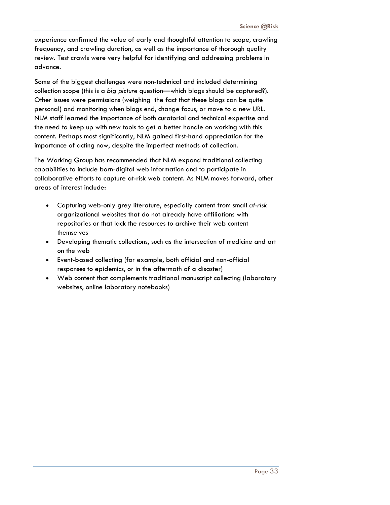experience confirmed the value of early and thoughtful attention to scope, crawling frequency, and crawling duration, as well as the importance of thorough quality review. Test crawls were very helpful for identifying and addressing problems in advance.

Some of the biggest challenges were non-technical and included determining collection scope (this is a *big picture* question—which blogs should be captured?). Other issues were permissions (weighing the fact that these blogs can be quite personal) and monitoring when blogs end, change focus, or move to a new URL. NLM staff learned the importance of both curatorial and technical expertise and the need to keep up with new tools to get a better handle on working with this content. Perhaps most significantly, NLM gained first-hand appreciation for the importance of acting now, despite the imperfect methods of collection.

The Working Group has recommended that NLM expand traditional collecting capabilities to include born-digital web information and to participate in collaborative efforts to capture at-risk web content. As NLM moves forward, other areas of interest include:

- Capturing web-only grey literature, especially content from small *at-risk* organizational websites that do not already have affiliations with repositories or that lack the resources to archive their web content themselves
- Developing thematic collections, such as the intersection of medicine and art on the web
- Event-based collecting (for example, both official and non-official responses to epidemics, or in the aftermath of a disaster)
- Web content that complements traditional manuscript collecting (laboratory websites, online laboratory notebooks)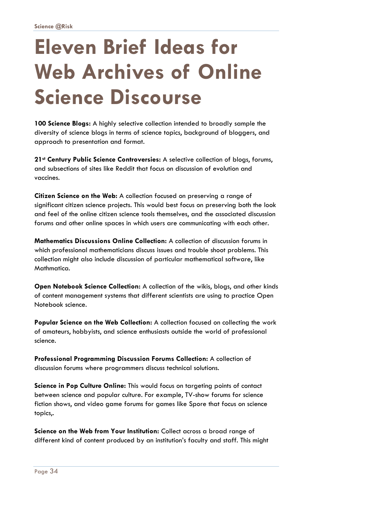## **Eleven Brief Ideas for Web Archives of Online Science Discourse**

**100 Science Blogs:** A highly selective collection intended to broadly sample the diversity of science blogs in terms of science topics, background of bloggers, and approach to presentation and format.

**21st Century Public Science Controversies:** A selective collection of blogs, forums, and subsections of sites like Reddit that focus on discussion of evolution and vaccines.

**Citizen Science on the Web:** A collection focused on preserving a range of significant citizen science projects. This would best focus on preserving both the look and feel of the online citizen science tools themselves, and the associated discussion forums and other online spaces in which users are communicating with each other.

**Mathematics Discussions Online Collection:** A collection of discussion forums in which professional mathematicians discuss issues and trouble shoot problems. This collection might also include discussion of particular mathematical software, like Mathmatica.

**Open Notebook Science Collection:** A collection of the wikis, blogs, and other kinds of content management systems that different scientists are using to practice Open Notebook science.

**Popular Science on the Web Collection:** A collection focused on collecting the work of amateurs, hobbyists, and science enthusiasts outside the world of professional science.

**Professional Programming Discussion Forums Collection:** A collection of discussion forums where programmers discuss technical solutions.

**Science in Pop Culture Online:** This would focus on targeting points of contact between science and popular culture. For example, TV-show forums for science fiction shows, and video game forums for games like Spore that focus on science topics,.

**Science on the Web from Your Institution:** Collect across a broad range of different kind of content produced by an institution's faculty and staff. This might